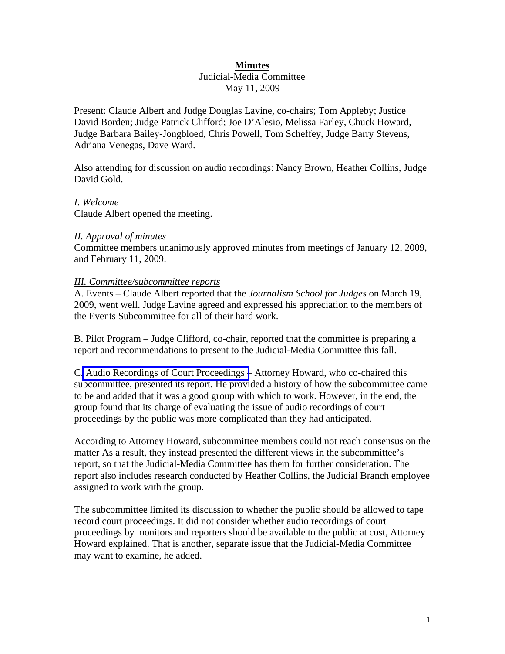### **Minutes**

### Judicial-Media Committee May 11, 2009

Present: Claude Albert and Judge Douglas Lavine, co-chairs; Tom Appleby; Justice David Borden; Judge Patrick Clifford; Joe D'Alesio, Melissa Farley, Chuck Howard, Judge Barbara Bailey-Jongbloed, Chris Powell, Tom Scheffey, Judge Barry Stevens, Adriana Venegas, Dave Ward.

Also attending for discussion on audio recordings: Nancy Brown, Heather Collins, Judge David Gold.

#### *I. Welcome*

Claude Albert opened the meeting.

#### *II. Approval of minutes*

Committee members unanimously approved minutes from meetings of January 12, 2009, and February 11, 2009.

### *III. Committee/subcommittee reports*

A. Events – Claude Albert reported that the *Journalism School for Judges* on March 19, 2009, went well. Judge Lavine agreed and expressed his appreciation to the members of the Events Subcommittee for all of their hard work.

B. Pilot Program – Judge Clifford, co-chair, reported that the committee is preparing a report and recommendations to present to the Judicial-Media Committee this fall.

C[. Audio Recordings of Court Proceedings –](http://www.jud.ct.gov/Committees/media/audio/finalreport09.pdf) Attorney Howard, who co-chaired this subcommittee, presented its report. He provided a history of how the subcommittee came to be and added that it was a good group with which to work. However, in the end, the group found that its charge of evaluating the issue of audio recordings of court proceedings by the public was more complicated than they had anticipated.

According to Attorney Howard, subcommittee members could not reach consensus on the matter As a result, they instead presented the different views in the subcommittee's report, so that the Judicial-Media Committee has them for further consideration. The report also includes research conducted by Heather Collins, the Judicial Branch employee assigned to work with the group.

The subcommittee limited its discussion to whether the public should be allowed to tape record court proceedings. It did not consider whether audio recordings of court proceedings by monitors and reporters should be available to the public at cost, Attorney Howard explained. That is another, separate issue that the Judicial-Media Committee may want to examine, he added.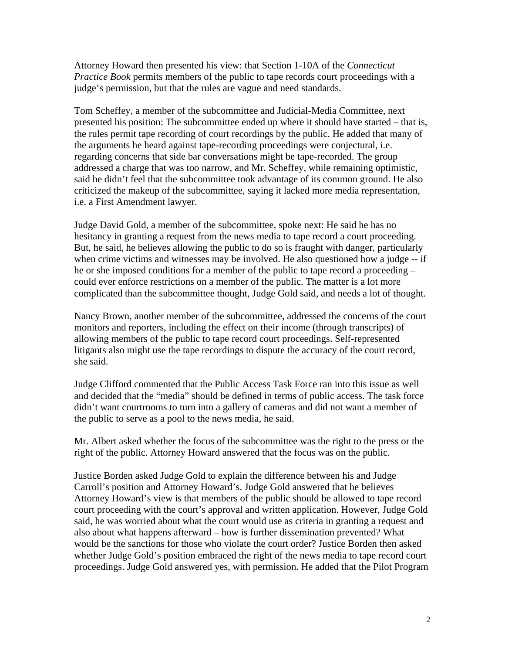Attorney Howard then presented his view: that Section 1-10A of the *Connecticut Practice Book* permits members of the public to tape records court proceedings with a judge's permission, but that the rules are vague and need standards.

Tom Scheffey, a member of the subcommittee and Judicial-Media Committee, next presented his position: The subcommittee ended up where it should have started – that is, the rules permit tape recording of court recordings by the public. He added that many of the arguments he heard against tape-recording proceedings were conjectural, i.e. regarding concerns that side bar conversations might be tape-recorded. The group addressed a charge that was too narrow, and Mr. Scheffey, while remaining optimistic, said he didn't feel that the subcommittee took advantage of its common ground. He also criticized the makeup of the subcommittee, saying it lacked more media representation, i.e. a First Amendment lawyer.

Judge David Gold, a member of the subcommittee, spoke next: He said he has no hesitancy in granting a request from the news media to tape record a court proceeding. But, he said, he believes allowing the public to do so is fraught with danger, particularly when crime victims and witnesses may be involved. He also questioned how a judge -- if he or she imposed conditions for a member of the public to tape record a proceeding – could ever enforce restrictions on a member of the public. The matter is a lot more complicated than the subcommittee thought, Judge Gold said, and needs a lot of thought.

Nancy Brown, another member of the subcommittee, addressed the concerns of the court monitors and reporters, including the effect on their income (through transcripts) of allowing members of the public to tape record court proceedings. Self-represented litigants also might use the tape recordings to dispute the accuracy of the court record, she said.

Judge Clifford commented that the Public Access Task Force ran into this issue as well and decided that the "media" should be defined in terms of public access. The task force didn't want courtrooms to turn into a gallery of cameras and did not want a member of the public to serve as a pool to the news media, he said.

Mr. Albert asked whether the focus of the subcommittee was the right to the press or the right of the public. Attorney Howard answered that the focus was on the public.

Justice Borden asked Judge Gold to explain the difference between his and Judge Carroll's position and Attorney Howard's. Judge Gold answered that he believes Attorney Howard's view is that members of the public should be allowed to tape record court proceeding with the court's approval and written application. However, Judge Gold said, he was worried about what the court would use as criteria in granting a request and also about what happens afterward – how is further dissemination prevented? What would be the sanctions for those who violate the court order? Justice Borden then asked whether Judge Gold's position embraced the right of the news media to tape record court proceedings. Judge Gold answered yes, with permission. He added that the Pilot Program